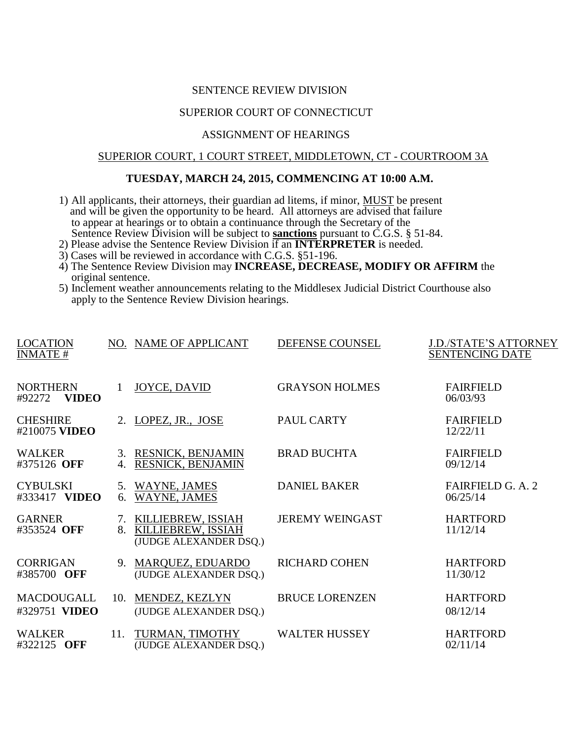### SENTENCE REVIEW DIVISION

# SUPERIOR COURT OF CONNECTICUT

## ASSIGNMENT OF HEARINGS

# SUPERIOR COURT, 1 COURT STREET, MIDDLETOWN, CT - COURTROOM 3A

#### **TUESDAY, MARCH 24, 2015, COMMENCING AT 10:00 A.M.**

- 1) All applicants, their attorneys, their guardian ad litems, if minor, MUST be present and will be given the opportunity to be heard. All attorneys are advised that failure to appear at hearings or to obtain a continuance through the Secretary of the Sentence Review Division will be subject to **sanctions** pursuant to C.G.S. § 51-84.
- 2) Please advise the Sentence Review Division if an **INTERPRETER** is needed.
- 3) Cases will be reviewed in accordance with C.G.S. §51-196.
- 4) The Sentence Review Division may **INCREASE, DECREASE, MODIFY OR AFFIRM** the original sentence.
- 5) Inclement weather announcements relating to the Middlesex Judicial District Courthouse also apply to the Sentence Review Division hearings.

| <b>LOCATION</b>                           |          | NO. NAME OF APPLICANT                                              | DEFENSE COUNSEL        | <b>J.D./STATE'S ATTORNEY</b>         |
|-------------------------------------------|----------|--------------------------------------------------------------------|------------------------|--------------------------------------|
| <b>INMATE#</b>                            |          |                                                                    |                        | <b>SENTENCING DATE</b>               |
| <b>NORTHERN</b><br><b>VIDEO</b><br>#92272 | 1        | <b>JOYCE, DAVID</b>                                                | <b>GRAYSON HOLMES</b>  | <b>FAIRFIELD</b><br>06/03/93         |
| <b>CHESHIRE</b><br>#210075 VIDEO          |          | 2. LOPEZ, JR., JOSE                                                | PAUL CARTY             | <b>FAIRFIELD</b><br>12/22/11         |
| <b>WALKER</b><br>#375126 OFF              | 3.<br>4. | <b>RESNICK, BENJAMIN</b><br>RESNICK, BENJAMIN                      | <b>BRAD BUCHTA</b>     | <b>FAIRFIELD</b><br>09/12/14         |
| <b>CYBULSKI</b><br>#333417 VIDEO          | 5.<br>6. | WAYNE, JAMES<br><b>WAYNE, JAMES</b>                                | <b>DANIEL BAKER</b>    | <b>FAIRFIELD G. A. 2</b><br>06/25/14 |
| <b>GARNER</b><br>#353524 OFF              | 7.<br>8. | KILLIEBREW, ISSIAH<br>KILLIEBREW, ISSIAH<br>(JUDGE ALEXANDER DSQ.) | <b>JEREMY WEINGAST</b> | <b>HARTFORD</b><br>11/12/14          |
| <b>CORRIGAN</b><br>#385700 OFF            |          | 9. MARQUEZ, EDUARDO<br>(JUDGE ALEXANDER DSQ.)                      | <b>RICHARD COHEN</b>   | <b>HARTFORD</b><br>11/30/12          |
| <b>MACDOUGALL</b><br>#329751 VIDEO        | 10.      | MENDEZ, KEZLYN<br>(JUDGE ALEXANDER DSQ.)                           | <b>BRUCE LORENZEN</b>  | <b>HARTFORD</b><br>08/12/14          |
| <b>WALKER</b><br>#322125 OFF              | 11.      | TURMAN, TIMOTHY<br>(JUDGE ALEXANDER DSQ.)                          | <b>WALTER HUSSEY</b>   | <b>HARTFORD</b><br>02/11/14          |